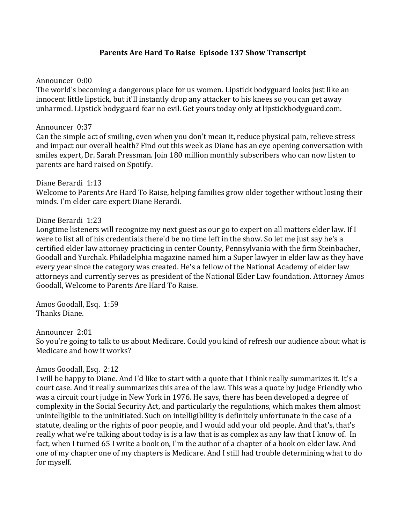# **Parents Are Hard To Raise Episode 137 Show Transcript**

#### Announcer 0:00

The world's becoming a dangerous place for us women. Lipstick bodyguard looks just like an innocent little lipstick, but it'll instantly drop any attacker to his knees so you can get away unharmed. Lipstick bodyguard fear no evil. Get yours today only at lipstickbodyguard.com.

### Announcer 0:37

Can the simple act of smiling, even when you don't mean it, reduce physical pain, relieve stress and impact our overall health? Find out this week as Diane has an eye opening conversation with smiles expert, Dr. Sarah Pressman. Join 180 million monthly subscribers who can now listen to parents are hard raised on Spotify.

### Diane Berardi 1:13

Welcome to Parents Are Hard To Raise, helping families grow older together without losing their minds. I'm elder care expert Diane Berardi.

### Diane Berardi 1:23

Longtime listeners will recognize my next guest as our go to expert on all matters elder law. If I were to list all of his credentials there'd be no time left in the show. So let me just say he's a certified elder law attorney practicing in center County, Pennsylvania with the firm Steinbacher, Goodall and Yurchak. Philadelphia magazine named him a Super lawyer in elder law as they have every year since the category was created. He's a fellow of the National Academy of elder law attorneys and currently serves as president of the National Elder Law foundation. Attorney Amos Goodall, Welcome to Parents Are Hard To Raise.

Amos Goodall, Esq. 1:59 Thanks Diane.

#### Announcer 2:01

So you're going to talk to us about Medicare. Could you kind of refresh our audience about what is Medicare and how it works?

## Amos Goodall, Esq. 2:12

I will be happy to Diane. And I'd like to start with a quote that I think really summarizes it. It's a court case. And it really summarizes this area of the law. This was a quote by Judge Friendly who was a circuit court judge in New York in 1976. He says, there has been developed a degree of complexity in the Social Security Act, and particularly the regulations, which makes them almost unintelligible to the uninitiated. Such on intelligibility is definitely unfortunate in the case of a statute, dealing or the rights of poor people, and I would add your old people. And that's, that's really what we're talking about today is is a law that is as complex as any law that I know of. In fact, when I turned 65 I write a book on, I'm the author of a chapter of a book on elder law. And one of my chapter one of my chapters is Medicare. And I still had trouble determining what to do for myself.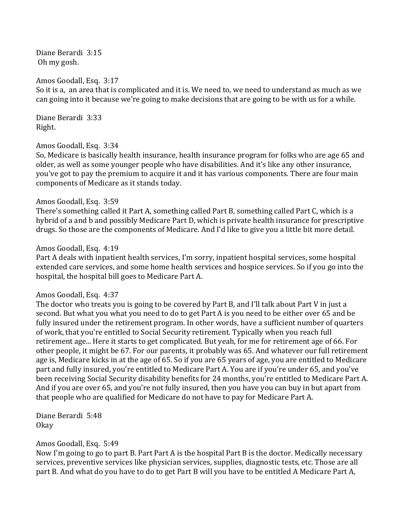Diane Berardi 3:15 Oh my gosh.

#### Amos Goodall, Esq. 3:17

So it is a, an area that is complicated and it is. We need to, we need to understand as much as we can going into it because we're going to make decisions that are going to be with us for a while.

Diane Berardi 3:33 Right.

#### Amos Goodall, Esq. 3:34

So, Medicare is basically health insurance, health insurance program for folks who are age 65 and older, as well as some younger people who have disabilities. And it's like any other insurance, you've got to pay the premium to acquire it and it has various components. There are four main components of Medicare as it stands today.

#### Amos Goodall, Esq. 3:59

There's something called it Part A, something called Part B, something called Part C, which is a hybrid of a and b and possibly Medicare Part D, which is private health insurance for prescriptive drugs. So those are the components of Medicare. And I'd like to give you a little bit more detail.

#### Amos Goodall, Esq. 4:19

Part A deals with inpatient health services, I'm sorry, inpatient hospital services, some hospital extended care services, and some home health services and hospice services. So if you go into the hospital, the hospital bill goes to Medicare Part A.

#### Amos Goodall, Esq. 4:37

The doctor who treats you is going to be covered by Part B, and I'll talk about Part V in just a second. But what you what you need to do to get Part A is you need to be either over 65 and be fully insured under the retirement program. In other words, have a sufficient number of quarters of work, that you're entitled to Social Security retirement. Typically when you reach full retirement age... Here it starts to get complicated. But yeah, for me for retirement age of 66. For other people, it might be 67. For our parents, it probably was 65. And whatever our full retirement age is, Medicare kicks in at the age of 65. So if you are 65 years of age, you are entitled to Medicare part and fully insured, you're entitled to Medicare Part A. You are if you're under 65, and you've been receiving Social Security disability benefits for 24 months, you're entitled to Medicare Part A. And if you are over 65, and you're not fully insured, then you have you can buy in but apart from that people who are qualified for Medicare do not have to pay for Medicare Part A.

Diane Berardi 5:48 Okay 

#### Amos Goodall, Esq. 5:49

Now I'm going to go to part B. Part Part A is the hospital Part B is the doctor. Medically necessary services, preventive services like physician services, supplies, diagnostic tests, etc. Those are all part B. And what do you have to do to get Part B will you have to be entitled A Medicare Part A,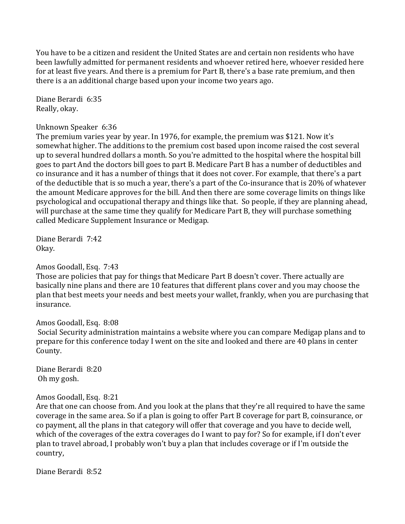You have to be a citizen and resident the United States are and certain non residents who have been lawfully admitted for permanent residents and whoever retired here, whoever resided here for at least five years. And there is a premium for Part B, there's a base rate premium, and then there is a an additional charge based upon your income two years ago.

Diane Berardi 6:35 Really, okay.

#### Unknown Speaker 6:36

The premium varies year by year. In 1976, for example, the premium was \$121. Now it's somewhat higher. The additions to the premium cost based upon income raised the cost several up to several hundred dollars a month. So you're admitted to the hospital where the hospital bill goes to part And the doctors bill goes to part B. Medicare Part B has a number of deductibles and co insurance and it has a number of things that it does not cover. For example, that there's a part of the deductible that is so much a year, there's a part of the Co-insurance that is 20% of whatever the amount Medicare approves for the bill. And then there are some coverage limits on things like psychological and occupational therapy and things like that. So people, if they are planning ahead, will purchase at the same time they qualify for Medicare Part B, they will purchase something called Medicare Supplement Insurance or Medigap.

Diane Berardi 7:42 Okay. 

Amos Goodall, Esq. 7:43

Those are policies that pay for things that Medicare Part B doesn't cover. There actually are basically nine plans and there are 10 features that different plans cover and you may choose the plan that best meets your needs and best meets your wallet, frankly, when you are purchasing that insurance.

Amos Goodall, Esq. 8:08

Social Security administration maintains a website where you can compare Medigap plans and to prepare for this conference today I went on the site and looked and there are 40 plans in center County.

Diane Berardi 8:20 Oh my gosh.

## Amos Goodall, Esq. 8:21

Are that one can choose from. And you look at the plans that they're all required to have the same coverage in the same area. So if a plan is going to offer Part B coverage for part B, coinsurance, or co payment, all the plans in that category will offer that coverage and you have to decide well, which of the coverages of the extra coverages do I want to pay for? So for example, if I don't ever plan to travel abroad, I probably won't buy a plan that includes coverage or if I'm outside the country,

Diane Berardi 8:52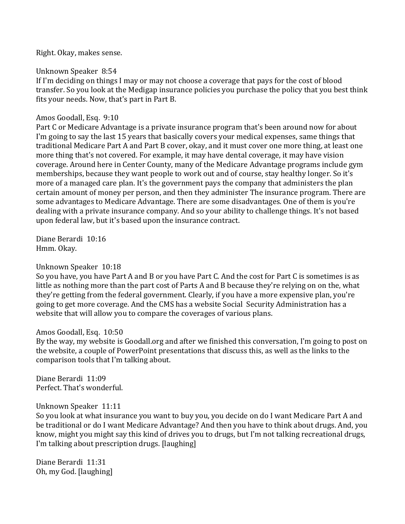Right. Okay, makes sense.

Unknown Speaker 8:54

If I'm deciding on things I may or may not choose a coverage that pays for the cost of blood transfer. So you look at the Medigap insurance policies you purchase the policy that you best think fits your needs. Now, that's part in Part B.

## Amos Goodall, Esq. 9:10

Part C or Medicare Advantage is a private insurance program that's been around now for about I'm going to say the last 15 years that basically covers your medical expenses, same things that traditional Medicare Part A and Part B cover, okay, and it must cover one more thing, at least one more thing that's not covered. For example, it may have dental coverage, it may have vision coverage. Around here in Center County, many of the Medicare Advantage programs include gym memberships, because they want people to work out and of course, stay healthy longer. So it's more of a managed care plan. It's the government pays the company that administers the plan certain amount of money per person, and then they administer The insurance program. There are some advantages to Medicare Advantage. There are some disadvantages. One of them is you're dealing with a private insurance company. And so your ability to challenge things. It's not based upon federal law, but it's based upon the insurance contract.

Diane Berardi 10:16 Hmm. Okay.

## Unknown Speaker 10:18

So you have, you have Part A and B or you have Part C. And the cost for Part C is sometimes is as little as nothing more than the part cost of Parts A and B because they're relying on on the, what they're getting from the federal government. Clearly, if you have a more expensive plan, you're going to get more coverage. And the CMS has a website Social Security Administration has a website that will allow you to compare the coverages of various plans.

#### Amos Goodall, Esq. 10:50

By the way, my website is Goodall.org and after we finished this conversation, I'm going to post on the website, a couple of PowerPoint presentations that discuss this, as well as the links to the comparison tools that I'm talking about.

Diane Berardi 11:09 Perfect. That's wonderful.

## Unknown Speaker 11:11

So you look at what insurance you want to buy you, you decide on do I want Medicare Part A and be traditional or do I want Medicare Advantage? And then you have to think about drugs. And, you know, might you might say this kind of drives you to drugs, but I'm not talking recreational drugs, I'm talking about prescription drugs. [laughing]

Diane Berardi 11:31 Oh, my God. [laughing]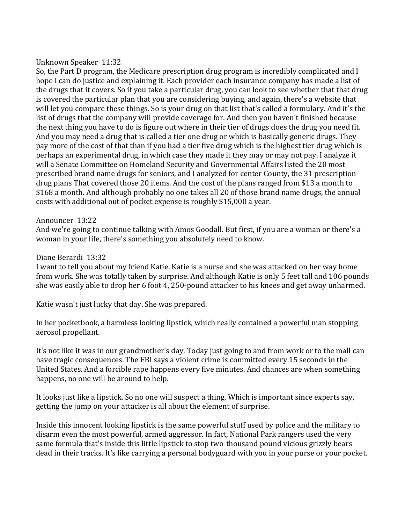### Unknown Speaker 11:32

So, the Part D program, the Medicare prescription drug program is incredibly complicated and I hope I can do justice and explaining it. Each provider each insurance company has made a list of the drugs that it covers. So if you take a particular drug, you can look to see whether that that drug is covered the particular plan that you are considering buying, and again, there's a website that will let you compare these things. So is your drug on that list that's called a formulary. And it's the list of drugs that the company will provide coverage for. And then you haven't finished because the next thing you have to do is figure out where in their tier of drugs does the drug you need fit. And you may need a drug that is called a tier one drug or which is basically generic drugs. They pay more of the cost of that than if you had a tier five drug which is the highest tier drug which is perhaps an experimental drug, in which case they made it they may or may not pay. I analyze it will a Senate Committee on Homeland Security and Governmental Affairs listed the 20 most prescribed brand name drugs for seniors, and I analyzed for center County, the 31 prescription drug plans That covered those 20 items. And the cost of the plans ranged from \$13 a month to \$168 a month. And although probably no one takes all 20 of those brand name drugs, the annual costs with additional out of pocket expense is roughly \$15,000 a year.

### Announcer 13:22

And we're going to continue talking with Amos Goodall. But first, if you are a woman or there's a woman in your life, there's something you absolutely need to know.

### Diane Berardi 13:32

I want to tell you about my friend Katie. Katie is a nurse and she was attacked on her way home from work. She was totally taken by surprise. And although Katie is only 5 feet tall and 106 pounds she was easily able to drop her 6 foot 4, 250-pound attacker to his knees and get away unharmed.

Katie wasn't just lucky that day. She was prepared.

In her pocketbook, a harmless looking lipstick, which really contained a powerful man stopping aerosol propellant.

It's not like it was in our grandmother's day. Today just going to and from work or to the mall can have tragic consequences. The FBI says a violent crime is committed every 15 seconds in the United States. And a forcible rape happens every five minutes. And chances are when something happens, no one will be around to help.

It looks just like a lipstick. So no one will suspect a thing. Which is important since experts say, getting the jump on your attacker is all about the element of surprise.

Inside this innocent looking lipstick is the same powerful stuff used by police and the military to disarm even the most powerful, armed aggressor. In fact, National Park rangers used the very same formula that's inside this little lipstick to stop two-thousand pound vicious grizzly bears dead in their tracks. It's like carrying a personal bodyguard with you in your purse or your pocket.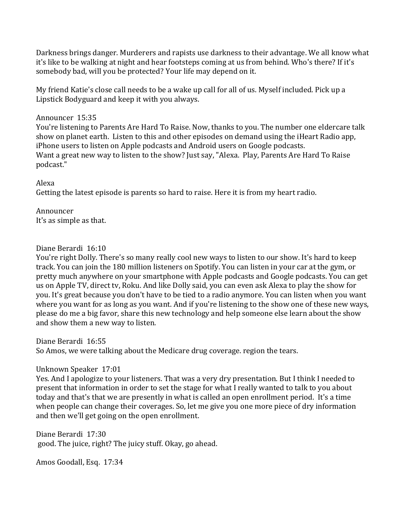Darkness brings danger. Murderers and rapists use darkness to their advantage. We all know what it's like to be walking at night and hear footsteps coming at us from behind. Who's there? If it's somebody bad, will you be protected? Your life may depend on it.

My friend Katie's close call needs to be a wake up call for all of us. Myself included. Pick up a Lipstick Bodyguard and keep it with you always.

## Announcer 15:35

You're listening to Parents Are Hard To Raise. Now, thanks to you. The number one eldercare talk show on planet earth. Listen to this and other episodes on demand using the iHeart Radio app, iPhone users to listen on Apple podcasts and Android users on Google podcasts. Want a great new way to listen to the show? Just say, "Alexa. Play, Parents Are Hard To Raise podcast." 

## Alexa

Getting the latest episode is parents so hard to raise. Here it is from my heart radio.

Announcer It's as simple as that.

## Diane Berardi 16:10

You're right Dolly. There's so many really cool new ways to listen to our show. It's hard to keep track. You can join the 180 million listeners on Spotify. You can listen in your car at the gym, or pretty much anywhere on your smartphone with Apple podcasts and Google podcasts. You can get us on Apple TV, direct tv, Roku. And like Dolly said, you can even ask Alexa to play the show for you. It's great because you don't have to be tied to a radio anymore. You can listen when you want where you want for as long as you want. And if you're listening to the show one of these new ways, please do me a big favor, share this new technology and help someone else learn about the show and show them a new way to listen.

Diane Berardi 16:55

So Amos, we were talking about the Medicare drug coverage. region the tears.

## Unknown Speaker 17:01

Yes. And I apologize to your listeners. That was a very dry presentation. But I think I needed to present that information in order to set the stage for what I really wanted to talk to you about today and that's that we are presently in what is called an open enrollment period. It's a time when people can change their coverages. So, let me give you one more piece of dry information and then we'll get going on the open enrollment.

Diane Berardi 17:30 good. The juice, right? The juicy stuff. Okay, go ahead.

Amos Goodall, Esq. 17:34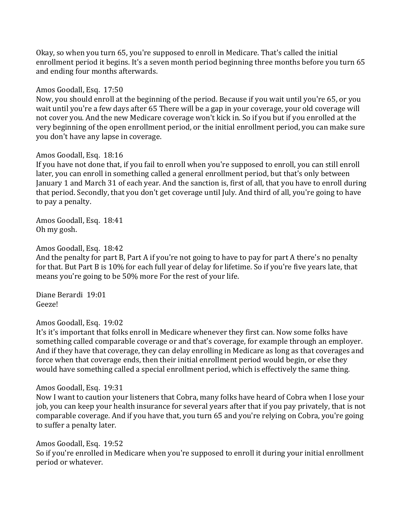Okay, so when you turn 65, you're supposed to enroll in Medicare. That's called the initial enrollment period it begins. It's a seven month period beginning three months before you turn 65 and ending four months afterwards.

Amos Goodall, Esq. 17:50

Now, you should enroll at the beginning of the period. Because if you wait until you're 65, or you wait until you're a few days after 65 There will be a gap in your coverage, your old coverage will not cover you. And the new Medicare coverage won't kick in. So if you but if you enrolled at the very beginning of the open enrollment period, or the initial enrollment period, you can make sure you don't have any lapse in coverage.

Amos Goodall, Esq. 18:16

If you have not done that, if you fail to enroll when you're supposed to enroll, you can still enroll later, you can enroll in something called a general enrollment period, but that's only between January 1 and March 31 of each year. And the sanction is, first of all, that you have to enroll during that period. Secondly, that you don't get coverage until July. And third of all, you're going to have to pay a penalty.

Amos Goodall, Esq. 18:41 Oh my gosh.

Amos Goodall, Esq. 18:42

And the penalty for part B, Part A if you're not going to have to pay for part A there's no penalty for that. But Part B is 10% for each full year of delay for lifetime. So if you're five years late, that means you're going to be 50% more For the rest of your life.

Diane Berardi 19:01 Geeze!

Amos Goodall, Esq. 19:02

It's it's important that folks enroll in Medicare whenever they first can. Now some folks have something called comparable coverage or and that's coverage, for example through an employer. And if they have that coverage, they can delay enrolling in Medicare as long as that coverages and force when that coverage ends, then their initial enrollment period would begin, or else they would have something called a special enrollment period, which is effectively the same thing.

Amos Goodall, Esq. 19:31

Now I want to caution your listeners that Cobra, many folks have heard of Cobra when I lose your job, you can keep your health insurance for several years after that if you pay privately, that is not comparable coverage. And if you have that, you turn 65 and you're relying on Cobra, you're going to suffer a penalty later.

Amos Goodall, Esq. 19:52 So if you're enrolled in Medicare when you're supposed to enroll it during your initial enrollment period or whatever.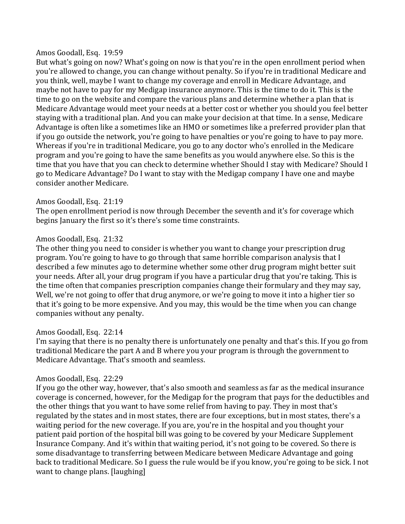#### Amos Goodall, Esq. 19:59

But what's going on now? What's going on now is that you're in the open enrollment period when you're allowed to change, you can change without penalty. So if you're in traditional Medicare and you think, well, maybe I want to change my coverage and enroll in Medicare Advantage, and maybe not have to pay for my Medigap insurance anymore. This is the time to do it. This is the time to go on the website and compare the various plans and determine whether a plan that is Medicare Advantage would meet your needs at a better cost or whether you should you feel better staying with a traditional plan. And you can make your decision at that time. In a sense, Medicare Advantage is often like a sometimes like an HMO or sometimes like a preferred provider plan that if you go outside the network, you're going to have penalties or you're going to have to pay more. Whereas if you're in traditional Medicare, you go to any doctor who's enrolled in the Medicare program and you're going to have the same benefits as you would anywhere else. So this is the time that you have that you can check to determine whether Should I stay with Medicare? Should I go to Medicare Advantage? Do I want to stay with the Medigap company I have one and maybe consider another Medicare.

## Amos Goodall, Esq. 21:19

The open enrollment period is now through December the seventh and it's for coverage which begins January the first so it's there's some time constraints.

### Amos Goodall, Esq. 21:32

The other thing you need to consider is whether you want to change your prescription drug program. You're going to have to go through that same horrible comparison analysis that I described a few minutes ago to determine whether some other drug program might better suit your needs. After all, your drug program if you have a particular drug that you're taking. This is the time often that companies prescription companies change their formulary and they may say, Well, we're not going to offer that drug anymore, or we're going to move it into a higher tier so that it's going to be more expensive. And you may, this would be the time when you can change companies without any penalty.

## Amos Goodall, Esq. 22:14

I'm saying that there is no penalty there is unfortunately one penalty and that's this. If you go from traditional Medicare the part A and B where you your program is through the government to Medicare Advantage. That's smooth and seamless.

## Amos Goodall, Esq. 22:29

If you go the other way, however, that's also smooth and seamless as far as the medical insurance coverage is concerned, however, for the Medigap for the program that pays for the deductibles and the other things that you want to have some relief from having to pay. They in most that's regulated by the states and in most states, there are four exceptions, but in most states, there's a waiting period for the new coverage. If you are, you're in the hospital and you thought your patient paid portion of the hospital bill was going to be covered by your Medicare Supplement Insurance Company. And it's within that waiting period, it's not going to be covered. So there is some disadvantage to transferring between Medicare between Medicare Advantage and going back to traditional Medicare. So I guess the rule would be if you know, you're going to be sick. I not want to change plans. [laughing]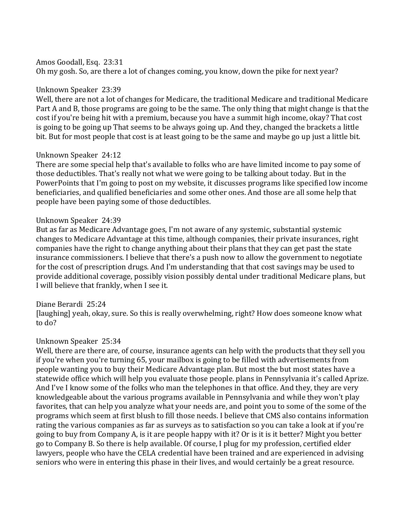Amos Goodall, Esq. 23:31

Oh my gosh. So, are there a lot of changes coming, you know, down the pike for next year?

### Unknown Speaker 23:39

Well, there are not a lot of changes for Medicare, the traditional Medicare and traditional Medicare Part A and B, those programs are going to be the same. The only thing that might change is that the cost if you're being hit with a premium, because you have a summit high income, okay? That cost is going to be going up That seems to be always going up. And they, changed the brackets a little bit. But for most people that cost is at least going to be the same and maybe go up just a little bit.

### Unknown Speaker 24:12

There are some special help that's available to folks who are have limited income to pay some of those deductibles. That's really not what we were going to be talking about today. But in the PowerPoints that I'm going to post on my website, it discusses programs like specified low income beneficiaries, and qualified beneficiaries and some other ones. And those are all some help that people have been paying some of those deductibles.

### Unknown Speaker 24:39

But as far as Medicare Advantage goes, I'm not aware of any systemic, substantial systemic changes to Medicare Advantage at this time, although companies, their private insurances, right companies have the right to change anything about their plans that they can get past the state insurance commissioners. I believe that there's a push now to allow the government to negotiate for the cost of prescription drugs. And I'm understanding that that cost savings may be used to provide additional coverage, possibly vision possibly dental under traditional Medicare plans, but I will believe that frankly, when I see it.

## Diane Berardi 25:24

[laughing] yeah, okay, sure. So this is really overwhelming, right? How does someone know what to do?

## Unknown Speaker 25:34

Well, there are there are, of course, insurance agents can help with the products that they sell you if you're when you're turning 65, your mailbox is going to be filled with advertisements from people wanting you to buy their Medicare Advantage plan. But most the but most states have a statewide office which will help you evaluate those people. plans in Pennsylvania it's called Aprize. And I've I know some of the folks who man the telephones in that office. And they, they are very knowledgeable about the various programs available in Pennsylvania and while they won't play favorites, that can help you analyze what your needs are, and point you to some of the some of the programs which seem at first blush to fill those needs. I believe that CMS also contains information rating the various companies as far as surveys as to satisfaction so you can take a look at if you're going to buy from Company A, is it are people happy with it? Or is it is it better? Might you better go to Company B. So there is help available. Of course, I plug for my profession, certified elder lawyers, people who have the CELA credential have been trained and are experienced in advising seniors who were in entering this phase in their lives, and would certainly be a great resource.